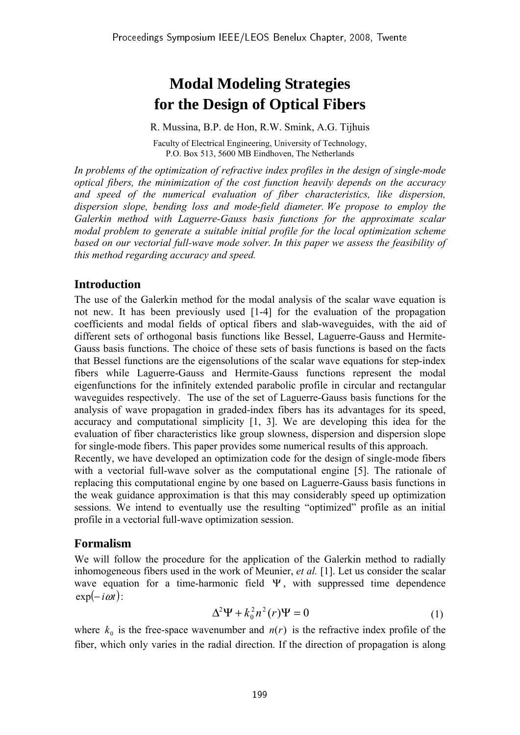# **Modal Modeling Strategies for the Design of Optical Fibers**

R. Mussina, B.P. de Hon, R.W. Smink, A.G. Tijhuis

Faculty of Electrical Engineering, University of Technology, P.O. Box 513, 5600 MB Eindhoven, The Netherlands

*In problems of the optimization of refractive index profiles in the design of single-mode optical fibers, the minimization of the cost function heavily depends on the accuracy and speed of the numerical evaluation of fiber characteristics, like dispersion, dispersion slope, bending loss and mode-field diameter. We propose to employ the Galerkin method with Laguerre-Gauss basis functions for the approximate scalar modal problem to generate a suitable initial profile for the local optimization scheme based on our vectorial full-wave mode solver. In this paper we assess the feasibility of this method regarding accuracy and speed.* 

## **Introduction**

The use of the Galerkin method for the modal analysis of the scalar wave equation is not new. It has been previously used [1-4] for the evaluation of the propagation coefficients and modal fields of optical fibers and slab-waveguides, with the aid of different sets of orthogonal basis functions like Bessel, Laguerre-Gauss and Hermite-Gauss basis functions. The choice of these sets of basis functions is based on the facts that Bessel functions are the eigensolutions of the scalar wave equations for step-index fibers while Laguerre-Gauss and Hermite-Gauss functions represent the modal eigenfunctions for the infinitely extended parabolic profile in circular and rectangular waveguides respectively. The use of the set of Laguerre-Gauss basis functions for the analysis of wave propagation in graded-index fibers has its advantages for its speed, accuracy and computational simplicity [1, 3]. We are developing this idea for the evaluation of fiber characteristics like group slowness, dispersion and dispersion slope for single-mode fibers. This paper provides some numerical results of this approach.

Recently, we have developed an optimization code for the design of single-mode fibers with a vectorial full-wave solver as the computational engine [5]. The rationale of replacing this computational engine by one based on Laguerre-Gauss basis functions in the weak guidance approximation is that this may considerably speed up optimization sessions. We intend to eventually use the resulting "optimized" profile as an initial profile in a vectorial full-wave optimization session.

## **Formalism**

We will follow the procedure for the application of the Galerkin method to radially inhomogeneous fibers used in the work of Meunier, *et al.* [1]. Let us consider the scalar wave equation for a time-harmonic field  $\Psi$ , with suppressed time dependence  $\exp(-i\omega t)$ :

$$
\Delta^2 \Psi + k_0^2 n^2(r) \Psi = 0 \tag{1}
$$

where  $k_0$  is the free-space wavenumber and  $n(r)$  is the refractive index profile of the fiber, which only varies in the radial direction. If the direction of propagation is along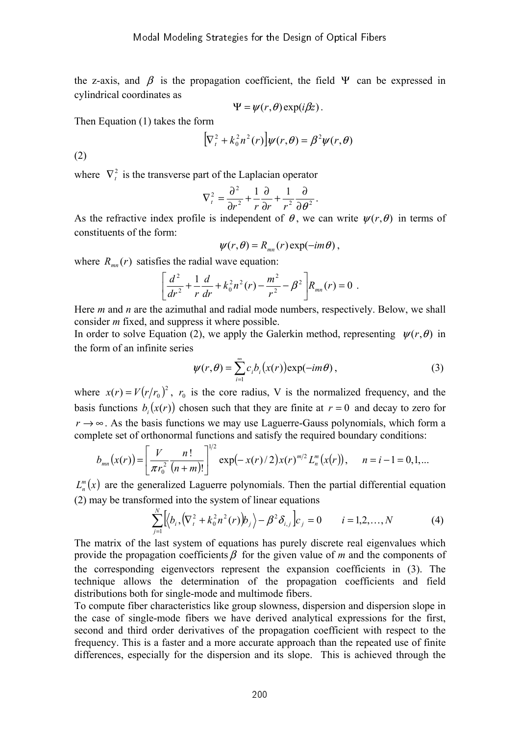the z-axis, and  $\beta$  is the propagation coefficient, the field  $\Psi$  can be expressed in cylindrical coordinates as

$$
\Psi = \psi(r,\theta) \exp(i\beta z).
$$

Then Equation (1) takes the form

$$
\left[\nabla_t^2 + k_0^2 n^2(r)\right]\psi(r,\theta) = \beta^2 \psi(r,\theta)
$$

(2)

where  $\nabla_t^2$  is the transverse part of the Laplacian operator

$$
\nabla_t^2 = \frac{\partial^2}{\partial r^2} + \frac{1}{r} \frac{\partial}{\partial r} + \frac{1}{r^2} \frac{\partial}{\partial \theta^2}.
$$

As the refractive index profile is independent of  $\theta$ , we can write  $\psi(r,\theta)$  in terms of constituents of the form:

$$
\psi(r,\theta) = R_{mn}(r) \exp(-im\theta) ,
$$

where  $R_{mn}(r)$  satisfies the radial wave equation:

$$
\left[\frac{d^2}{dr^2} + \frac{1}{r}\frac{d}{dr} + k_0^2 n^2(r) - \frac{m^2}{r^2} - \beta^2\right] R_{mn}(r) = 0.
$$

Here *m* and *n* are the azimuthal and radial mode numbers, respectively. Below, we shall consider *m* fixed, and suppress it where possible.

In order to solve Equation (2), we apply the Galerkin method, representing  $\psi(r, \theta)$  in the form of an infinite series

$$
\psi(r,\theta) = \sum_{i=1}^{\infty} c_i b_i(x(r)) \exp(-im\theta), \qquad (3)
$$

where  $x(r) = V(r/r_0)^2$ ,  $r_0$  is the core radius, V is the normalized frequency, and the basis functions  $b_i(x(r))$  chosen such that they are finite at  $r = 0$  and decay to zero for  $r \rightarrow \infty$ . As the basis functions we may use Laguerre-Gauss polynomials, which form a complete set of orthonormal functions and satisfy the required boundary conditions:

$$
b_{mn}(x(r)) = \left[\frac{V}{\pi r_0^2} \frac{n!}{(n+m)!}\right]^{1/2} \exp\left(-x(r)/2\right) x(r)^{m/2} L_n^m(x(r)), \quad n = i-1 = 0, 1, ...
$$

 $L_n^m(x)$  are the generalized Laguerre polynomials. Then the partial differential equation (2) may be transformed into the system of linear equations

$$
\sum_{j=1}^{N} \left[ \left\langle b_{i}, \left( \nabla_{t}^{2} + k_{0}^{2} n^{2}(r) \right) b_{j} \right\rangle - \beta^{2} \delta_{i,j} \right] c_{j} = 0 \qquad i = 1, 2, ..., N \qquad (4)
$$

The matrix of the last system of equations has purely discrete real eigenvalues which provide the propagation coefficients  $\beta$  for the given value of *m* and the components of the corresponding eigenvectors represent the expansion coefficients in (3). The technique allows the determination of the propagation coefficients and field distributions both for single-mode and multimode fibers.

To compute fiber characteristics like group slowness, dispersion and dispersion slope in the case of single-mode fibers we have derived analytical expressions for the first, second and third order derivatives of the propagation coefficient with respect to the frequency. This is a faster and a more accurate approach than the repeated use of finite differences, especially for the dispersion and its slope. This is achieved through the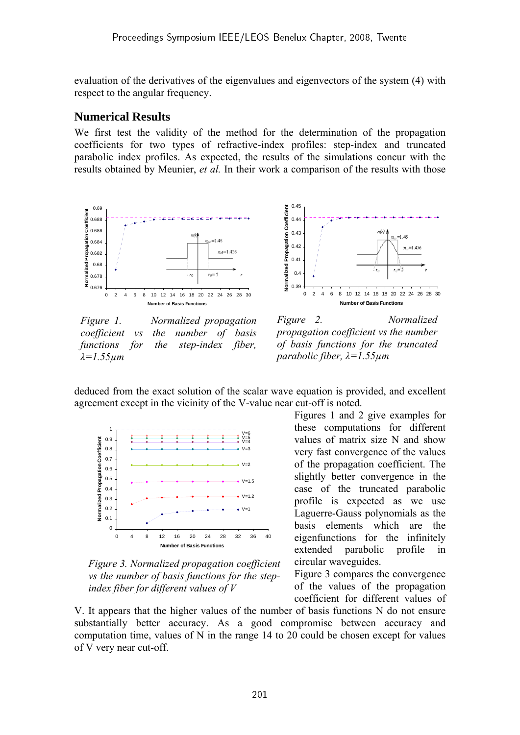evaluation of the derivatives of the eigenvalues and eigenvectors of the system (4) with respect to the angular frequency.

### **Numerical Results**

We first test the validity of the method for the determination of the propagation coefficients for two types of refractive-index profiles: step-index and truncated parabolic index profiles. As expected, the results of the simulations concur with the results obtained by Meunier, *et al.* In their work a comparison of the results with those



*Figure 1. Normalized propagation coefficient vs the number of basis functions for the step-index fiber, λ=1.55µm* 





deduced from the exact solution of the scalar wave equation is provided, and excellent agreement except in the vicinity of the V-value near cut-off is noted.



*Figure 3. Normalized propagation coefficient vs the number of basis functions for the stepindex fiber for different values of V*

Figures 1 and 2 give examples for these computations for different values of matrix size N and show very fast convergence of the values of the propagation coefficient. The slightly better convergence in the case of the truncated parabolic profile is expected as we use Laguerre-Gauss polynomials as the basis elements which are the eigenfunctions for the infinitely extended parabolic profile in circular waveguides.

Figure 3 compares the convergence of the values of the propagation coefficient for different values of

V. It appears that the higher values of the number of basis functions N do not ensure substantially better accuracy. As a good compromise between accuracy and computation time, values of N in the range 14 to 20 could be chosen except for values of V very near cut-off.